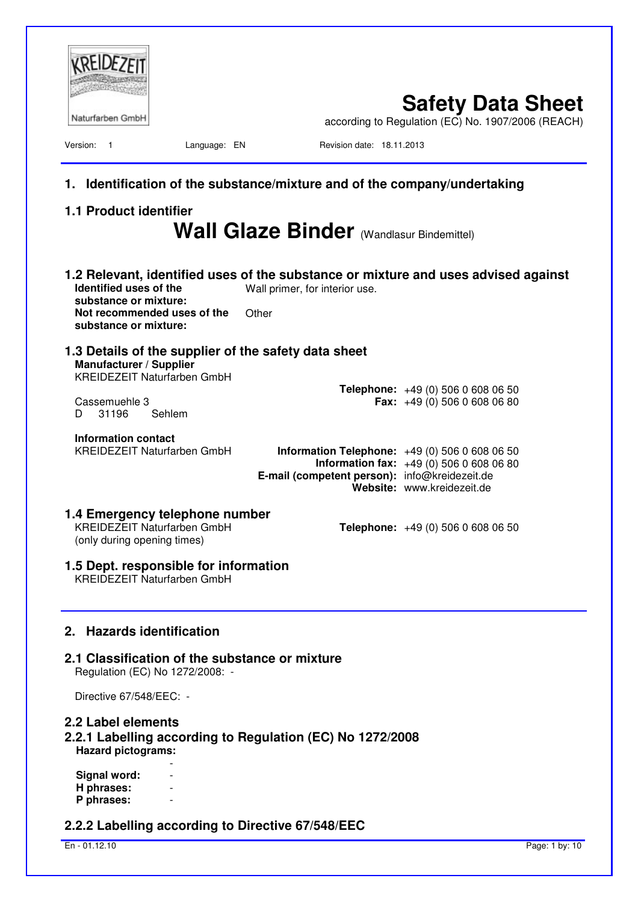| Naturfarben GmbH                                                                                                                                                                              |                                                                                                    | <b>Safety Data Sheet</b><br>according to Regulation (EC) No. 1907/2006 (REACH) |
|-----------------------------------------------------------------------------------------------------------------------------------------------------------------------------------------------|----------------------------------------------------------------------------------------------------|--------------------------------------------------------------------------------|
| Version:<br>Language: EN<br>$\overline{1}$                                                                                                                                                    | Revision date: 18.11.2013                                                                          |                                                                                |
| 1.                                                                                                                                                                                            | Identification of the substance/mixture and of the company/undertaking                             |                                                                                |
| <b>1.1 Product identifier</b>                                                                                                                                                                 | <b>Wall Glaze Binder</b> (Wandlasur Bindemittel)                                                   |                                                                                |
| 1.2 Relevant, identified uses of the substance or mixture and uses advised against<br>Identified uses of the<br>substance or mixture:<br>Not recommended uses of the<br>substance or mixture: | Wall primer, for interior use.<br>Other                                                            |                                                                                |
| 1.3 Details of the supplier of the safety data sheet<br>Manufacturer / Supplier<br><b>KREIDEZEIT Naturfarben GmbH</b>                                                                         |                                                                                                    |                                                                                |
| Cassemuehle 3<br>Sehlem<br>31196<br>D.                                                                                                                                                        |                                                                                                    | <b>Telephone:</b> $+49(0)50606080650$<br><b>Fax:</b> $+49(0)$ 506 0 608 06 80  |
| Information contact<br><b>KREIDEZEIT Naturfarben GmbH</b>                                                                                                                                     | <b>Information Telephone:</b> $+49(0)50606080650$<br>E-mail (competent person): info@kreidezeit.de | <b>Information fax:</b> $+49(0)50606080680$<br>Website: www.kreidezeit.de      |
| 1.4 Emergency telephone number<br><b>KREIDEZEIT Naturfarben GmbH</b><br>(only during opening times)                                                                                           |                                                                                                    | Telephone: +49 (0) 506 0 608 06 50                                             |
| 1.5 Dept. responsible for information<br><b>KREIDEZEIT Naturfarben GmbH</b>                                                                                                                   |                                                                                                    |                                                                                |
| 2. Hazards identification<br>2.1 Classification of the substance or mixture<br>Regulation (EC) No 1272/2008: -                                                                                |                                                                                                    |                                                                                |
| Directive 67/548/EEC: -                                                                                                                                                                       |                                                                                                    |                                                                                |
| 2.2 Label elements<br>2.2.1 Labelling according to Regulation (EC) No 1272/2008<br><b>Hazard pictograms:</b>                                                                                  |                                                                                                    |                                                                                |
| Signal word:<br>H phrases:<br>P phrases:                                                                                                                                                      |                                                                                                    |                                                                                |
| 2.2.2 Labelling according to Directive 67/548/EEC                                                                                                                                             |                                                                                                    |                                                                                |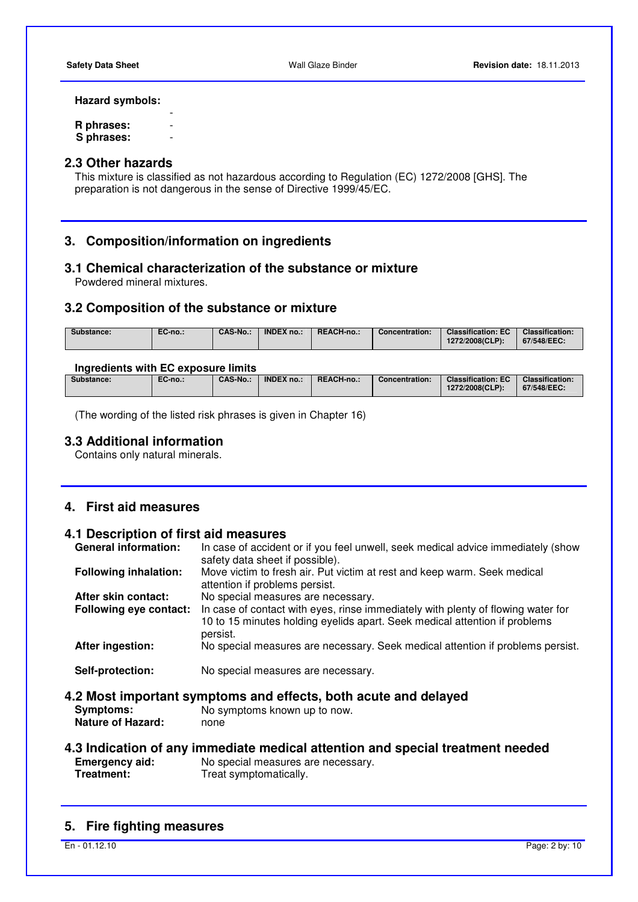### **Hazard symbols:**

| R phrases: |  |
|------------|--|
| S phrases: |  |

# **2.3 Other hazards**

 This mixture is classified as not hazardous according to Regulation (EC) 1272/2008 [GHS]. The preparation is not dangerous in the sense of Directive 1999/45/EC.

# **3. Composition/information on ingredients**

## **3.1 Chemical characterization of the substance or mixture**

Powdered mineral mixtures.

## **3.2 Composition of the substance or mixture**

| <b>CAS-No.:</b><br>EC-no.:<br>Substance: | <b>INDEX no.:</b> | REACH-no.: | <b>Concentration:</b> | <b>Classification: EC</b><br>1272/2008(CLP): | <b>Classification:</b><br>67/548/EEC: |
|------------------------------------------|-------------------|------------|-----------------------|----------------------------------------------|---------------------------------------|
|------------------------------------------|-------------------|------------|-----------------------|----------------------------------------------|---------------------------------------|

### **Ingredients with EC exposure limits**

| <b>Classification:</b><br><b>CAS-No.:</b><br><b>INDEX no.:</b><br>REACH-no.:<br><b>Classification: EC</b><br>EC-no.:<br>Substance:<br><b>Concentration:</b><br>1272/2008(CLP):<br>67/548/EEC: | $1.1$ , $1.1$ , $0.1$ , $0.1$ , $1.1$ , $1.1$ , $1.1$ , $1.1$ , $1.1$ , $1.1$ , $1.1$ |  |  |  |  |  |  |  |
|-----------------------------------------------------------------------------------------------------------------------------------------------------------------------------------------------|---------------------------------------------------------------------------------------|--|--|--|--|--|--|--|
|                                                                                                                                                                                               |                                                                                       |  |  |  |  |  |  |  |

(The wording of the listed risk phrases is given in Chapter 16)

# **3.3 Additional information**

Contains only natural minerals.

# **4. First aid measures**

## **4.1 Description of first aid measures**

| <b>General information:</b>                  | In case of accident or if you feel unwell, seek medical advice immediately (show<br>safety data sheet if possible).                                                        |
|----------------------------------------------|----------------------------------------------------------------------------------------------------------------------------------------------------------------------------|
| <b>Following inhalation:</b>                 | Move victim to fresh air. Put victim at rest and keep warm. Seek medical<br>attention if problems persist.                                                                 |
| After skin contact:                          | No special measures are necessary.                                                                                                                                         |
| <b>Following eye contact:</b>                | In case of contact with eyes, rinse immediately with plenty of flowing water for<br>10 to 15 minutes holding eyelids apart. Seek medical attention if problems<br>persist. |
| After ingestion:                             | No special measures are necessary. Seek medical attention if problems persist.                                                                                             |
| Self-protection:                             | No special measures are necessary.                                                                                                                                         |
|                                              | 4.2 Most important symptoms and effects, both acute and delayed                                                                                                            |
| <b>Symptoms:</b><br><b>Nature of Hazard:</b> | No symptoms known up to now.<br>none                                                                                                                                       |
|                                              | 4.3 Indication of any immediate medical attention and special treatment needed                                                                                             |

| <b>Emergency aid:</b> | No special measures are necessary. |
|-----------------------|------------------------------------|
| Treatment:            | Treat symptomatically.             |

# **5. Fire fighting measures**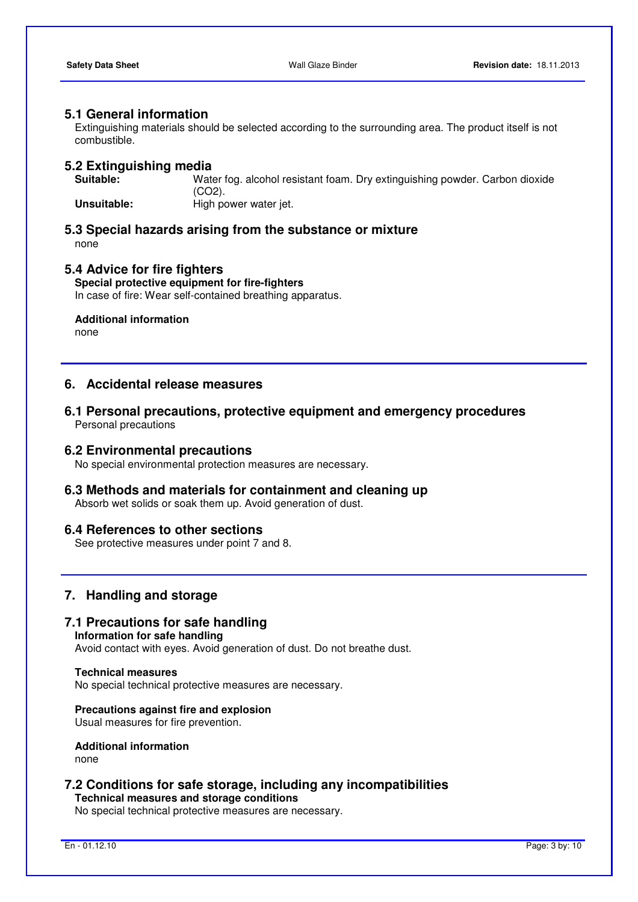## **5.1 General information**

 Extinguishing materials should be selected according to the surrounding area. The product itself is not combustible.

### **5.2 Extinguishing media**

**Suitable:** Water fog. alcohol resistant foam. Dry extinguishing powder. Carbon dioxide (CO2). **Unsuitable: High power water jet.** 

# **5.3 Special hazards arising from the substance or mixture**

none

### **5.4 Advice for fire fighters**

**Special protective equipment for fire-fighters**  In case of fire: Wear self-contained breathing apparatus.

**Additional information**  none

# **6. Accidental release measures**

### **6.1 Personal precautions, protective equipment and emergency procedures**  Personal precautions

### **6.2 Environmental precautions**

No special environmental protection measures are necessary.

### **6.3 Methods and materials for containment and cleaning up**

Absorb wet solids or soak them up. Avoid generation of dust.

### **6.4 References to other sections**

See protective measures under point 7 and 8.

## **7. Handling and storage**

# **7.1 Precautions for safe handling**

**Information for safe handling**  Avoid contact with eyes. Avoid generation of dust. Do not breathe dust.

#### **Technical measures**

No special technical protective measures are necessary.

### **Precautions against fire and explosion**

Usual measures for fire prevention.

### **Additional information**  none

## **7.2 Conditions for safe storage, including any incompatibilities Technical measures and storage conditions**

No special technical protective measures are necessary.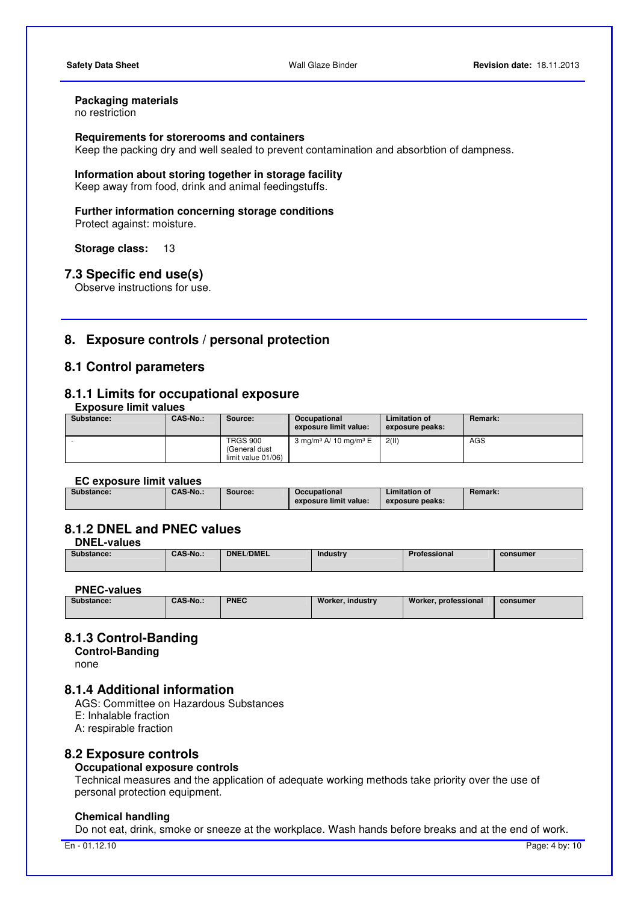# **Packaging materials**

no restriction

### **Requirements for storerooms and containers**

Keep the packing dry and well sealed to prevent contamination and absorbtion of dampness.

# **Information about storing together in storage facility**

Keep away from food, drink and animal feedingstuffs.

# **Further information concerning storage conditions**

Protect against: moisture.

**Storage class:** 13

### **7.3 Specific end use(s)**

Observe instructions for use.

## **8. Exposure controls / personal protection**

### **8.1 Control parameters**

# **8.1.1 Limits for occupational exposure**

**Exposure limit values** 

| Substance: | <b>CAS-No.:</b> | Source:                                                | <b>Occupational</b><br>exposure limit value:  | <b>Limitation of</b><br>exposure peaks: | <b>Remark:</b> |
|------------|-----------------|--------------------------------------------------------|-----------------------------------------------|-----------------------------------------|----------------|
|            |                 | <b>TRGS 900</b><br>(General dust<br>limit value 01/06) | 3 mg/m <sup>3</sup> A/ 10 mg/m <sup>3</sup> E | 2(11)                                   | AGS            |

### **EC exposure limit values**

| Substance: | <b>CAS-No.:</b> | Source: | <b>Occupational</b>   | <b>Limitation of</b> | <b>Remark:</b> |
|------------|-----------------|---------|-----------------------|----------------------|----------------|
|            |                 |         | exposure limit value: | exposure peaks:      |                |

# **8.1.2 DNEL and PNEC values**

**DNEL-values** 

| Sul<br>stance: | <b>CAS-No.:</b> | <b>DNEL/DMEL</b> | ∘dustrv<br><b>Inc</b><br>------ | Professional | consumer |
|----------------|-----------------|------------------|---------------------------------|--------------|----------|
|                |                 |                  |                                 |              |          |
|                |                 |                  |                                 |              |          |

### **PNEC-values**

| .          |                 |             |                  |                      |          |
|------------|-----------------|-------------|------------------|----------------------|----------|
| Substance: | <b>CAS-No.:</b> | <b>PNEC</b> | Worker, industry | Worker, professional | consumer |

# **8.1.3 Control-Banding**

**Control-Banding**  none

## **8.1.4 Additional information**

 AGS: Committee on Hazardous Substances E: Inhalable fraction

A: respirable fraction

## **8.2 Exposure controls**

## **Occupational exposure controls**

 Technical measures and the application of adequate working methods take priority over the use of personal protection equipment.

### **Chemical handling**

Do not eat, drink, smoke or sneeze at the workplace. Wash hands before breaks and at the end of work.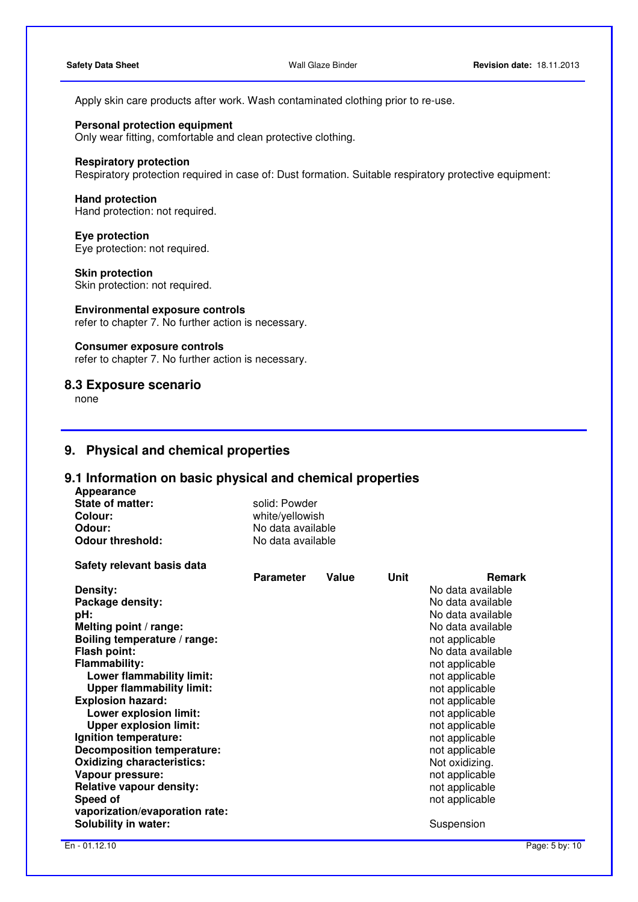Apply skin care products after work. Wash contaminated clothing prior to re-use.

### **Personal protection equipment**

Only wear fitting, comfortable and clean protective clothing.

### **Respiratory protection**

Respiratory protection required in case of: Dust formation. Suitable respiratory protective equipment:

### **Hand protection**

Hand protection: not required.

### **Eye protection**

Eye protection: not required.

### **Skin protection**

Skin protection: not required.

### **Environmental exposure controls**

refer to chapter 7. No further action is necessary.

## **Consumer exposure controls**

refer to chapter 7. No further action is necessary.

### **8.3 Exposure scenario**

none

# **9. Physical and chemical properties**

## **9.1 Information on basic physical and chemical properties**

| Appearance              |                   |
|-------------------------|-------------------|
| <b>State of matter:</b> | solid: Powder     |
| Colour:                 | white/yellowish   |
| Odour:                  | No data available |
| Odour threshold:        | No data available |

| Safety relevant basis data        |                  |       |             |                   |
|-----------------------------------|------------------|-------|-------------|-------------------|
|                                   | <b>Parameter</b> | Value | <b>Unit</b> | <b>Remark</b>     |
| Density:                          |                  |       |             | No data available |
| Package density:                  |                  |       |             | No data available |
| pH:                               |                  |       |             | No data available |
| Melting point / range:            |                  |       |             | No data available |
| Boiling temperature / range:      |                  |       |             | not applicable    |
| Flash point:                      |                  |       |             | No data available |
| <b>Flammability:</b>              |                  |       |             | not applicable    |
| Lower flammability limit:         |                  |       |             | not applicable    |
| <b>Upper flammability limit:</b>  |                  |       |             | not applicable    |
| <b>Explosion hazard:</b>          |                  |       |             | not applicable    |
| Lower explosion limit:            |                  |       |             | not applicable    |
| <b>Upper explosion limit:</b>     |                  |       |             | not applicable    |
| Ignition temperature:             |                  |       |             | not applicable    |
| <b>Decomposition temperature:</b> |                  |       |             | not applicable    |
| <b>Oxidizing characteristics:</b> |                  |       |             | Not oxidizing.    |
| Vapour pressure:                  |                  |       |             | not applicable    |
| <b>Relative vapour density:</b>   |                  |       |             | not applicable    |
| Speed of                          |                  |       |             | not applicable    |
| vaporization/evaporation rate:    |                  |       |             |                   |
| <b>Solubility in water:</b>       |                  |       |             | Suspension        |
|                                   |                  |       |             |                   |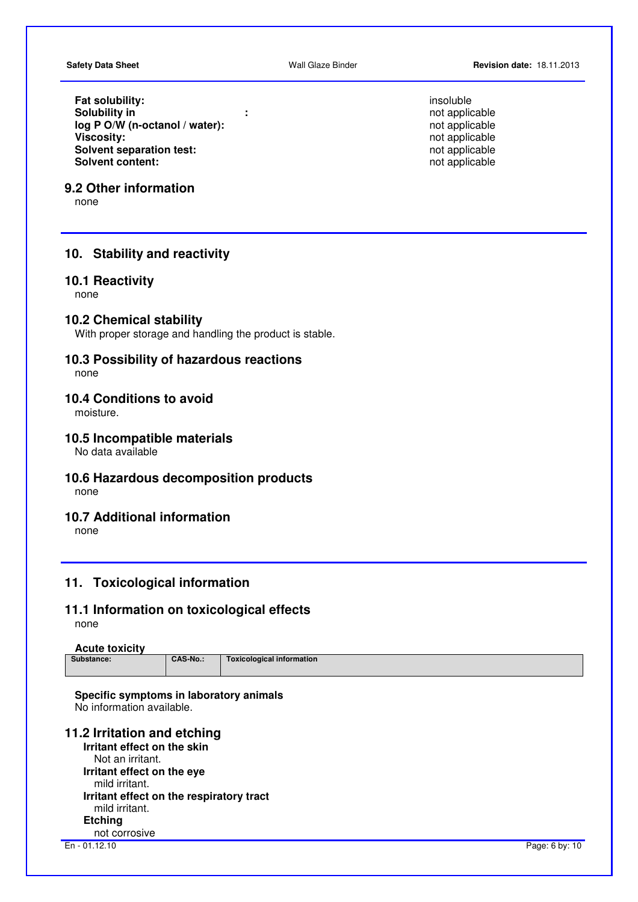**Fat solubility: Fat solubility:**  $\qquad \qquad$  **i**nsoluble **Solubility in Solubility** in Solubility in Solubility in Solubility in Solubility in Solubility in Solubility in Solubility in Solubility in Solubility in Solubilit **Solubility in**<br> **log P O/W (n-octanol / water):**<br> **log P O/W (n-octanol / water):**<br> **log P O/W (n-octanol / water):** log P O/W (n-octanol / water): **Viscosity: not** applicable **not applicable not applicable not applicable not** applicable **Solvent separation test: not** applicable **not** applicable **solvent content: not** applicable **not** applicable **Solvent content:** 

# **9.2 Other information**

none

# **10. Stability and reactivity**

### **10.1 Reactivity**

none

### **10.2 Chemical stability**

With proper storage and handling the product is stable.

# **10.3 Possibility of hazardous reactions**

none

## **10.4 Conditions to avoid**

moisture.

## **10.5 Incompatible materials**

No data available

# **10.6 Hazardous decomposition products**

none

# **10.7 Additional information**

none

## **11. Toxicological information**

# **11.1 Information on toxicological effects**

none

### **Acute toxicity**

| ----------------- |                 |                           |
|-------------------|-----------------|---------------------------|
| Substance:        | <b>CAS-No.:</b> | Toxicological information |
|                   |                 |                           |

### **Specific symptoms in laboratory animals**  No information available.

# **11.2 Irritation and etching**

**Irritant effect on the skin**  Not an irritant. **Irritant effect on the eye** mild irritant. **Irritant effect on the respiratory tract** mild irritant. **Etching**  not corrosive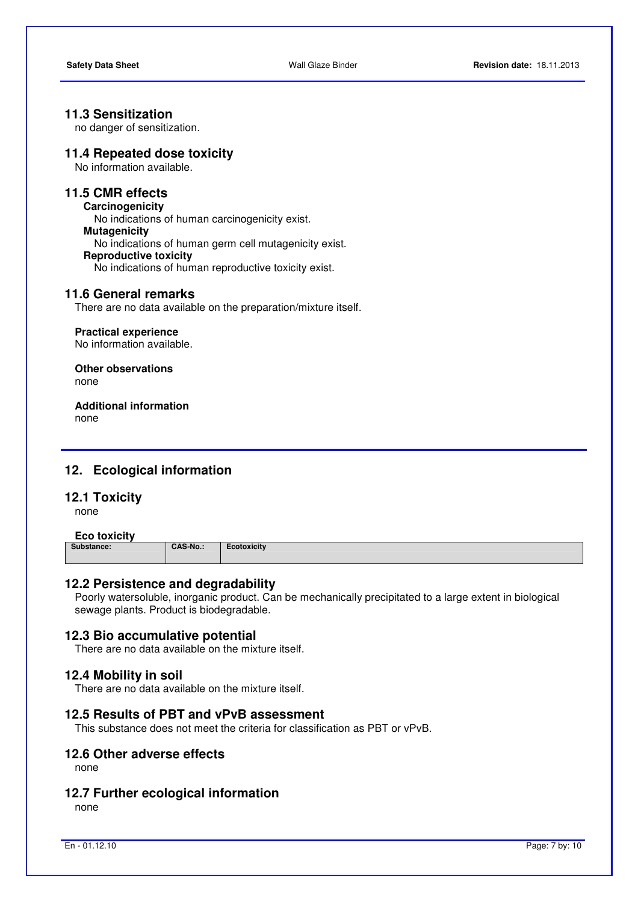# **11.3 Sensitization**

no danger of sensitization.

## **11.4 Repeated dose toxicity**

No information available.

# **11.5 CMR effects**

**Carcinogenicity**  No indications of human carcinogenicity exist. **Mutagenicity**  No indications of human germ cell mutagenicity exist. **Reproductive toxicity**  No indications of human reproductive toxicity exist.

## **11.6 General remarks**

There are no data available on the preparation/mixture itself.

### **Practical experience**

No information available.

**Other observations** none

**Additional information**  none

## **12. Ecological information**

### **12.1 Toxicity**

none

### **Eco toxicity**

| Substance:<br>. <del>.</del> | <b>CAS-No.:</b> | ∠cotoxicity |
|------------------------------|-----------------|-------------|
|                              |                 |             |

# **12.2 Persistence and degradability**

 Poorly watersoluble, inorganic product. Can be mechanically precipitated to a large extent in biological sewage plants. Product is biodegradable.

### **12.3 Bio accumulative potential**

There are no data available on the mixture itself.

### **12.4 Mobility in soil**

There are no data available on the mixture itself.

# **12.5 Results of PBT and vPvB assessment**

This substance does not meet the criteria for classification as PBT or vPvB.

# **12.6 Other adverse effects**

none

## **12.7 Further ecological information**

none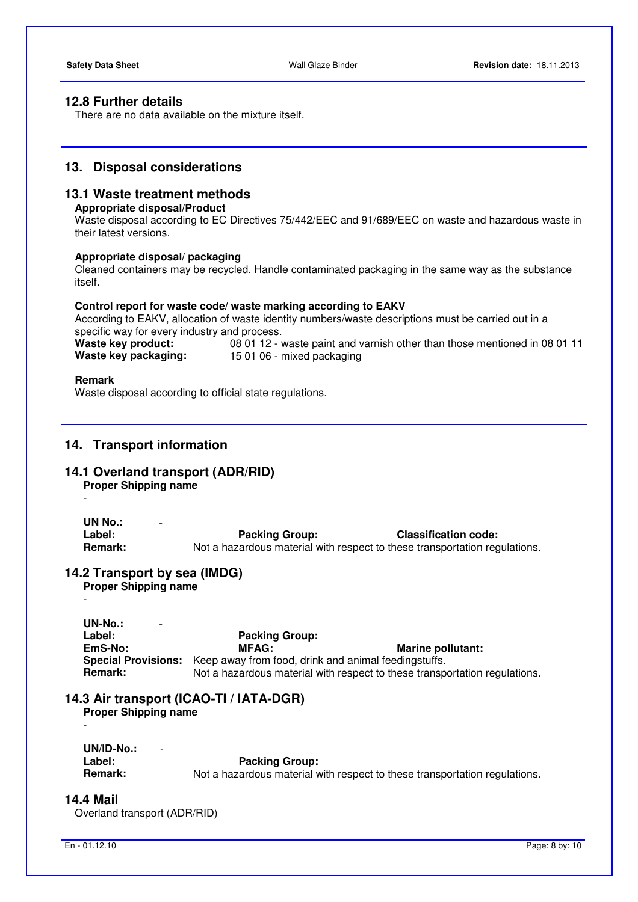# **12.8 Further details**

There are no data available on the mixture itself.

### **13. Disposal considerations**

## **13.1 Waste treatment methods**

### **Appropriate disposal/Product**

 Waste disposal according to EC Directives 75/442/EEC and 91/689/EEC on waste and hazardous waste in their latest versions.

### **Appropriate disposal/ packaging**

 Cleaned containers may be recycled. Handle contaminated packaging in the same way as the substance itself.

#### **Control report for waste code/ waste marking according to EAKV**

 According to EAKV, allocation of waste identity numbers/waste descriptions must be carried out in a specific way for every industry and process. **Waste key product:** 08 01 12 - waste paint and varnish other than those mentioned in 08 01 11 **Waste key packaging:** 15 01 06 - mixed packaging

### **Remark**

Waste disposal according to official state regulations.

## **14. Transport information**

### **14.1 Overland transport (ADR/RID)**

**Proper Shipping name** 

UN No.:<br>Label:

-

-

Packing Group: Classification code: **Remark:** Not a hazardous material with respect to these transportation regulations.

### **14.2 Transport by sea (IMDG)**

**Proper Shipping name** 

UN-No.:<br>Label: **Packing Group: EmS-No: MEAG: MEAG: MEAG: Marine pollutant: Special Provisions:** Keep away from food, drink and animal feedingstuffs. **Remark:** Not a hazardous material with respect to these transportation regulations.

# **14.3 Air transport (ICAO-TI / IATA-DGR)**

**Proper Shipping name** 

**UN/ID-No.:** -

Label: Packing Group:

**Remark:** Not a hazardous material with respect to these transportation regulations.

### **14.4 Mail**

-

Overland transport (ADR/RID)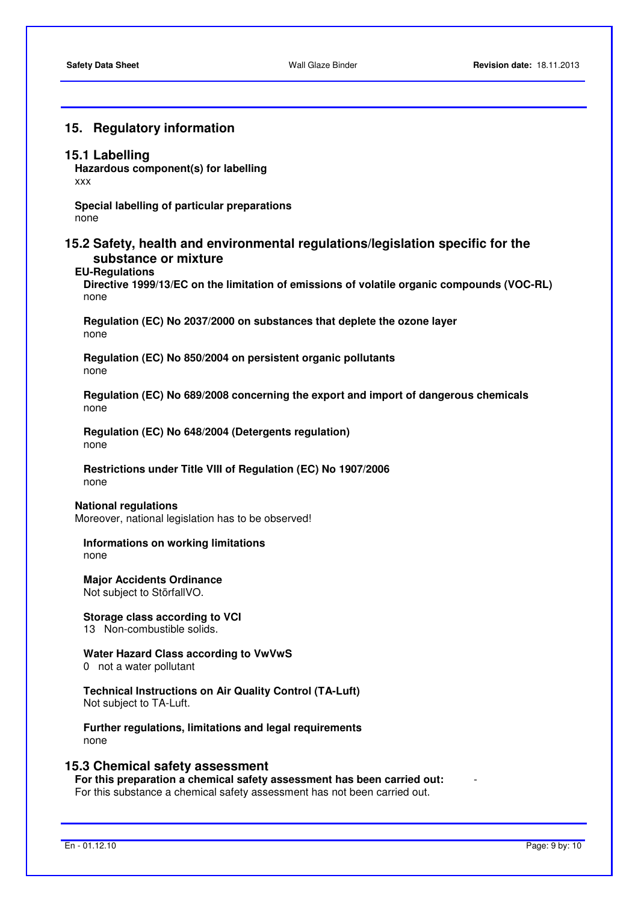## **15. Regulatory information**

### **15.1 Labelling**

**Hazardous component(s) for labelling**  xxx

**Special labelling of particular preparations**  none

# **15.2 Safety, health and environmental regulations/legislation specific for the substance or mixture**

#### **EU-Regulations**

**Directive 1999/13/EC on the limitation of emissions of volatile organic compounds (VOC-RL)**  none

**Regulation (EC) No 2037/2000 on substances that deplete the ozone layer**  none

**Regulation (EC) No 850/2004 on persistent organic pollutants**  none

**Regulation (EC) No 689/2008 concerning the export and import of dangerous chemicals**  none

**Regulation (EC) No 648/2004 (Detergents regulation)** none

**Restrictions under Title VIII of Regulation (EC) No 1907/2006**  none

### **National regulations**

Moreover, national legislation has to be observed!

### **Informations on working limitations**  none

**Major Accidents Ordinance** 

Not subject to StörfallVO.

# **Storage class according to VCI**

13 Non-combustible solids.

### **Water Hazard Class according to VwVwS**

0 not a water pollutant

### **Technical Instructions on Air Quality Control (TA-Luft)**  Not subject to TA-Luft.

**Further regulations, limitations and legal requirements**  none

### **15.3 Chemical safety assessment**

**For this preparation a chemical safety assessment has been carried out:** - For this substance a chemical safety assessment has not been carried out.